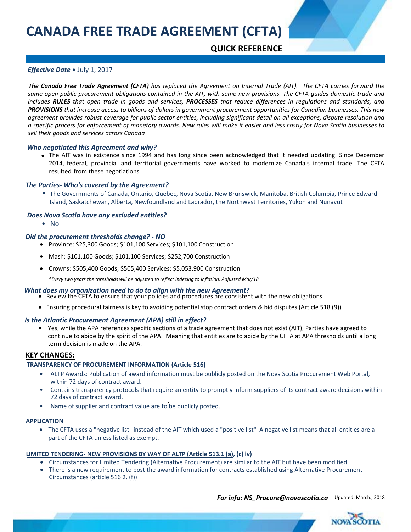# **QUICK REFERENCE**

# *Effective Date* • July 1, 2017

*The Canada Free Trade Agreement (CFTA) has replaced the Agreement on Internal Trade (AIT). The CFTA carries forward the same open public procurement obligations contained in the AIT, with some new provisions. The CFTA guides domestic trade and includes RULES that open trade in goods and services, PROCESSES that reduce differences in regulations and standards, and PROVISIONS that increase access to billions of dollars in government procurement opportunities for Canadian businesses. This new agreement provides robust coverage for public sector entities, including significant detail on all exceptions, dispute resolution and a specific process for enforcement of monetary awards. New rules will make it easier and less costly for Nova Scotia businesses to sell their goods and services across Canada*

## *Who negotiated this Agreement and why?*

• The AIT was in existence since 1994 and has long since been acknowledged that it needed updating. Since December 2014, federal, provincial and territorial governments have worked to modernize Canada's internal trade. The CFTA resulted from these negotiations

## *The Parties- Who's covered by the Agreement?*

Island, Saskatchewan, Alberta, Newfoundland and Labrador, the Northwest Territories, Yukon and Nunavut • The Governments of Canada, Ontario, Quebec, Nova Scotia, New Brunswick, Manitoba, British Columbia, Prince Edward

## *Does Nova Scotia have any excluded entities?*

• No

#### *Did the procurement thresholds change? - NO*

- Province: \$25,300 Goods; \$101,100 Services; \$101,100 Construction
- Mash: \$101,100 Goods; \$101,100 Services; \$252,700 Construction
- Crowns: \$505,400 Goods; \$505,400 Services; \$5,053,900 Construction

*\*Every two years the thresholds will be adjusted to reflect indexing to inflation. Adjusted Mar/18*

#### *What does my organization need to do to align with the new Agreement?*

- Review the CFTA to ensure that your policies and procedures are consistent with the new obligations.
- Ensuring procedural fairness is key to avoiding potential stop contract orders & bid disputes (Article 518 (9))

# *Is the Atlantic Procurement Agreement (APA) still in effect?*

• Yes, while the APA references specific sections of a trade agreement that does not exist (AIT), Parties have agreed to continue to abide by the spirit of the APA. Meaning that entities are to abide by the CFTA at APA thresholds until a long term decision is made on the APA.

# **KEY CHANGES:**

# **TRANSPARENCY OF PROCUREMENT INFORMATION (Article 516)**

- ALTP Awards: Publication of award information must be publicly posted on the Nova Scotia Procurement Web Portal, within 72 days of contract award.
- Contains transparency protocols that require an entity to promptly inform suppliers of its contract award decisions within 72 days of contract award.
- Name of supplier and contract value are to be publicly posted.

#### **APPLICATION**

• The CFTA uses a "negative list" instead of the AIT which used a "positive list" A negative list means that all entities are a part of the CFTA unless listed as exempt.

#### **LIMITED TENDERING- NEW PROVISIONS BY WAY OF ALTP (Article 513.1 (a), (c) iv)**

- Circumstances for Limited Tendering (Alternative Procurement) are similar to the AIT but have been modified.
- There is a new requirement to post the award information for contracts established using Alternative Procurement Circumstances (article 516 2. (f))

**For info: [NS\\_Procure@novascotia.ca](mailto:NS_Procure@novascotia.ca)** Updated: March., 2018